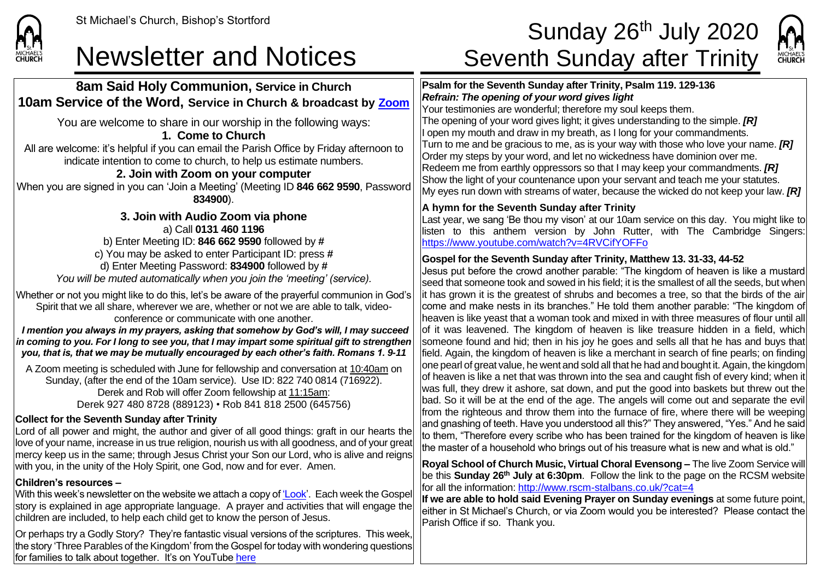

## **8am Said Holy Communion, Service in Church 10am Service of the Word, Service in Church & broadcast by [Zoom](about:blank)**

You are welcome to share in our worship in the following ways:

### **1. Come to Church**

All are welcome: it's helpful if you can email the Parish Office by Friday afternoon to indicate intention to come to church, to help us estimate numbers.

## **2. Join with Zoom on your computer**

When you are signed in you can 'Join a Meeting' (Meeting ID **846 662 9590**, Password **834900**).

**3. Join with Audio Zoom via phone** a) Call **0131 460 1196** b) Enter Meeting ID: **846 662 9590** followed by **#** c) You may be asked to enter Participant ID: press **#** d) Enter Meeting Password: **834900** followed by **#** *You will be muted automatically when you join the 'meeting' (service).*

Whether or not you might like to do this, let's be aware of the prayerful communion in God's Spirit that we all share, wherever we are, whether or not we are able to talk, videoconference or communicate with one another.

*I mention you always in my prayers, asking that somehow by God's will, I may succeed in coming to you. For I long to see you, that I may impart some spiritual gift to strengthen you, that is, that we may be mutually encouraged by each other's faith. Romans 1. 9-11*

A Zoom meeting is scheduled with June for fellowship and conversation at 10:40am on Sunday, (after the end of the 10am service). Use ID: 822 740 0814 (716922). Derek and Rob will offer Zoom fellowship at 11:15am: Derek 927 480 8728 (889123) • Rob 841 818 2500 (645756)

### **Collect for the Seventh Sunday after Trinity**

Lord of all power and might, the author and giver of all good things: graft in our hearts the love of your name, increase in us true religion, nourish us with all goodness, and of your great mercy keep us in the same; through Jesus Christ your Son our Lord, who is alive and reigns with you, in the unity of the Holy Spirit, one God, now and for ever. Amen.

#### **Children's resources –**

With this week's newsletter on the website we attach a copy o[f 'Look'.](about:blank) Each week the Gospel story is explained in age appropriate language. A prayer and activities that will engage the children are included, to help each child get to know the person of Jesus.

Or perhaps try a Godly Story? They're fantastic visual versions of the scriptures. This week, the story 'Three Parables of the Kingdom' from the Gospel for today with wondering questions for families to talk about together. It's on YouTube [here](about:blank)

# St Michael's Church, Bishop's Stortford **Sunday 26<sup>th</sup> July 2020** Newsletter and Notices Seventh Sunday after Trinity



#### **Psalm for the Seventh Sunday after Trinity, Psalm 119. 129-136**  *Refrain: The opening of your word gives light* Your testimonies are wonderful; therefore my soul keeps them.

The opening of your word gives light; it gives understanding to the simple. *[R]* I open my mouth and draw in my breath, as I long for your commandments. Turn to me and be gracious to me, as is your way with those who love your name. *[R]* Order my steps by your word, and let no wickedness have dominion over me. Redeem me from earthly oppressors so that I may keep your commandments. *[R]* Show the light of your countenance upon your servant and teach me your statutes. My eyes run down with streams of water, because the wicked do not keep your law. *[R]*

### **A hymn for the Seventh Sunday after Trinity**

Last year, we sang 'Be thou my vison' at our 10am service on this day. You might like to listen to this anthem version by John Rutter, with The Cambridge Singers: [https://www.youtube.com/watch?v=4RVCifYOFFo](about:blank)

### **Gospel for the Seventh Sunday after Trinity, Matthew 13. 31-33, 44-52**

Jesus put before the crowd another parable: "The kingdom of heaven is like a mustard seed that someone took and sowed in his field; it is the smallest of all the seeds, but when it has grown it is the greatest of shrubs and becomes a tree, so that the birds of the air come and make nests in its branches." He told them another parable: "The kingdom of heaven is like yeast that a woman took and mixed in with three measures of flour until all of it was leavened. The kingdom of heaven is like treasure hidden in a field, which someone found and hid; then in his joy he goes and sells all that he has and buys that field. Again, the kingdom of heaven is like a merchant in search of fine pearls; on finding one pearl of great value, he went and sold all that he had and bought it. Again, the kingdom of heaven is like a net that was thrown into the sea and caught fish of every kind; when it was full, they drew it ashore, sat down, and put the good into baskets but threw out the bad. So it will be at the end of the age. The angels will come out and separate the evil from the righteous and throw them into the furnace of fire, where there will be weeping and gnashing of teeth. Have you understood all this?" They answered, "Yes." And he said to them, "Therefore every scribe who has been trained for the kingdom of heaven is like the master of a household who brings out of his treasure what is new and what is old."

**Royal School of Church Music, Virtual Choral Evensong –** The live Zoom Service will be this **Sunday 26th July at 6:30pm**. Follow the link to the page on the RCSM website for all the information: [http://www.rscm-stalbans.co.uk/?cat=4](about:blank)

**If we are able to hold said Evening Prayer on Sunday evenings** at some future point, either in St Michael's Church, or via Zoom would you be interested? Please contact the Parish Office if so. Thank you.